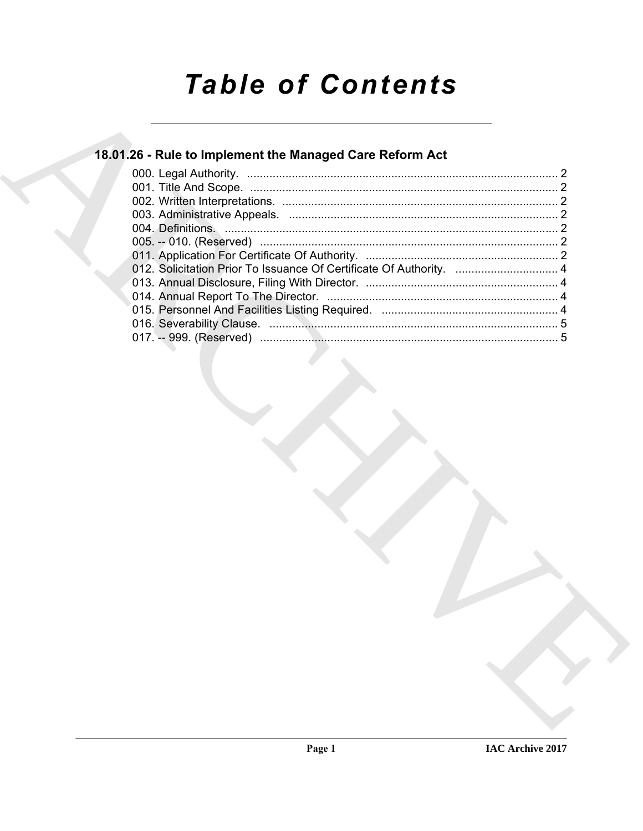# **Table of Contents**

## 18.01.26 - Rule to Implement the Managed Care Reform Act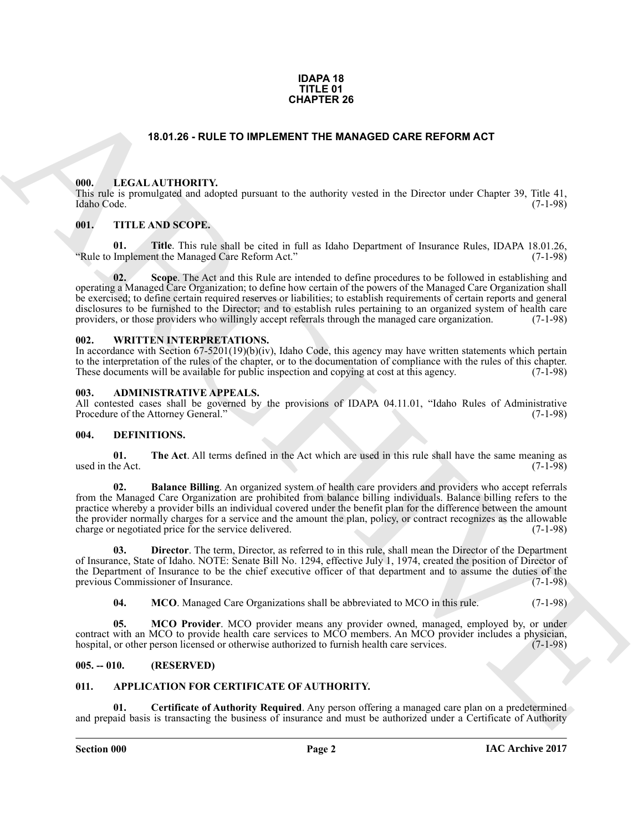#### **IDAPA 18 TITLE 01 CHAPTER 26**

#### **18.01.26 - RULE TO IMPLEMENT THE MANAGED CARE REFORM ACT**

#### <span id="page-1-1"></span><span id="page-1-0"></span>**000. LEGAL AUTHORITY.**

This rule is promulgated and adopted pursuant to the authority vested in the Director under Chapter 39, Title 41, Idaho Code. (7-1-98)

#### <span id="page-1-2"></span>**001. TITLE AND SCOPE.**

**01. Title**. This rule shall be cited in full as Idaho Department of Insurance Rules, IDAPA 18.01.26, "Rule to Implement the Managed Care Reform Act."

**15.01.26 - RULE TO IMPLEMER 26**<br> **CHARCHIVE CONTRACT THE MANAGED CARE REFORM ACT**<br> **CHARCHIVE CONTRACT CONTRACT CONTRACT CONTRACT CONTRACT CONTRACT CONTRACT CONTRACT CONTRACT CONTRACT CONTRACT CONTRACT CONTRACT CONTRACT 02. Scope**. The Act and this Rule are intended to define procedures to be followed in establishing and operating a Managed Care Organization; to define how certain of the powers of the Managed Care Organization shall be exercised; to define certain required reserves or liabilities; to establish requirements of certain reports and general disclosures to be furnished to the Director; and to establish rules pertaining to an organized system of health care<br>providers, or those providers who willingly accept referrals through the managed care organization. (7-1providers, or those providers who willingly accept referrals through the managed care organization.

#### <span id="page-1-3"></span>**002. WRITTEN INTERPRETATIONS.**

In accordance with Section 67-5201(19)(b)(iv), Idaho Code, this agency may have written statements which pertain to the interpretation of the rules of the chapter, or to the documentation of compliance with the rules of this chapter.<br>These documents will be available for public inspection and copying at cost at this agency. (7-1-98) These documents will be available for public inspection and copying at cost at this agency.

#### <span id="page-1-4"></span>**003. ADMINISTRATIVE APPEALS.**

All contested cases shall be governed by the provisions of IDAPA 04.11.01, "Idaho Rules of Administrative Procedure of the Attorney General." (7-1-98) Procedure of the Attorney General."

#### <span id="page-1-10"></span><span id="page-1-5"></span>**004. DEFINITIONS.**

<span id="page-1-15"></span>**01.** The Act. All terms defined in the Act which are used in this rule shall have the same meaning as the Act. used in the Act.

<span id="page-1-11"></span>**02. Balance Billing**. An organized system of health care providers and providers who accept referrals from the Managed Care Organization are prohibited from balance billing individuals. Balance billing refers to the practice whereby a provider bills an individual covered under the benefit plan for the difference between the amount the provider normally charges for a service and the amount the plan, policy, or contract recognizes as the allowable charge or negotiated price for the service delivered. (7-1-98) charge or negotiated price for the service delivered.

**03. Director**. The term, Director, as referred to in this rule, shall mean the Director of the Department of Insurance, State of Idaho. NOTE: Senate Bill No. 1294, effective July 1, 1974, created the position of Director of the Department of Insurance to be the chief executive officer of that department and to assume the duties of the previous Commissioner of Insurance. (7-1-98) previous Commissioner of Insurance.

<span id="page-1-14"></span><span id="page-1-13"></span><span id="page-1-12"></span>**04. MCO**. Managed Care Organizations shall be abbreviated to MCO in this rule. (7-1-98)

**05. MCO Provider**. MCO provider means any provider owned, managed, employed by, or under contract with an MCO to provide health care services to MCO members. An MCO provider includes a physician, hospital, or other person licensed or otherwise authorized to furnish health care services. (7-1-98) hospital, or other person licensed or otherwise authorized to furnish health care services.

#### <span id="page-1-6"></span>**005. -- 010. (RESERVED)**

#### <span id="page-1-8"></span><span id="page-1-7"></span>**011. APPLICATION FOR CERTIFICATE OF AUTHORITY.**

<span id="page-1-9"></span>**01. Certificate of Authority Required**. Any person offering a managed care plan on a predetermined and prepaid basis is transacting the business of insurance and must be authorized under a Certificate of Authority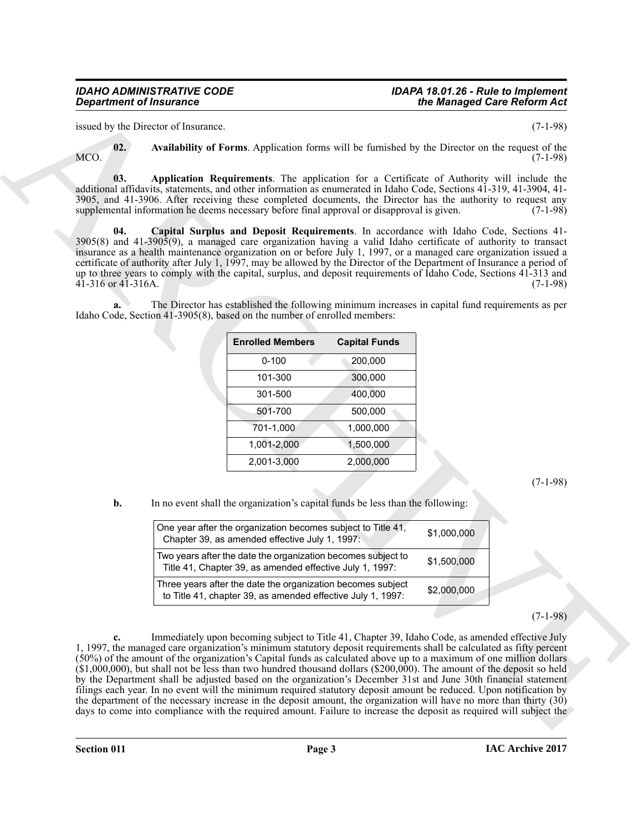#### *IDAHO ADMINISTRATIVE CODE IDAPA 18.01.26 - Rule to Implement the Managed Care Reform Act*

issued by the Director of Insurance. (7-1-98)

<span id="page-2-0"></span>

<span id="page-2-1"></span>**02. Availability of Forms**. Application forms will be furnished by the Director on the request of the  $MCO.$  (7-1-98)

**03. Application Requirements**. The application for a Certificate of Authority will include the additional affidavits, statements, and other information as enumerated in Idaho Code, Sections 41-319, 41-3904, 41- 3905, and 41-3906. After receiving these completed documents, the Director has the authority to request any supplemental information he deems necessary before final approval or disapproval is given. (7-1-98)

<span id="page-2-2"></span>**04. Capital Surplus and Deposit Requirements**. In accordance with Idaho Code, Sections 41- 3905(8) and 41-3905(9), a managed care organization having a valid Idaho certificate of authority to transact insurance as a health maintenance organization on or before July 1, 1997, or a managed care organization issued a certificate of authority after July 1, 1997, may be allowed by the Director of the Department of Insurance a period of up to three years to comply with the capital, surplus, and deposit requirements of Idaho Code, Sections 41-313 and 41-316 or 41-316A. (7-1-98)

**a.** The Director has established the following minimum increases in capital fund requirements as per Idaho Code, Section 41-3905(8), based on the number of enrolled members:

| <b>Enrolled Members</b> | <b>Capital Funds</b> |
|-------------------------|----------------------|
| $0 - 100$               | 200,000              |
| 101-300                 | 300,000              |
| 301-500                 | 400,000              |
| 501-700                 | 500,000              |
| 701-1,000               | 1,000,000            |
| 1,001-2,000             | 1,500,000            |
| 2,001-3,000             | 2,000,000            |

(7-1-98)

**b.** In no event shall the organization's capital funds be less than the following:

| One year after the organization becomes subject to Title 41,<br>Chapter 39, as amended effective July 1, 1997:             | \$1,000,000 |
|----------------------------------------------------------------------------------------------------------------------------|-------------|
| Two years after the date the organization becomes subject to<br>Title 41, Chapter 39, as amended effective July 1, 1997:   | \$1,500,000 |
| Three years after the date the organization becomes subject<br>to Title 41, chapter 39, as amended effective July 1, 1997: | \$2,000,000 |

(7-1-98)

**Expansion of Insurance<br>
Expansion of Francesco.**<br>
This Dockstate values and the transformation of Francesco.<br>
ARCHIVE A systemation of Francesco. The expansion of Francesco and Table 19 the Princest over the required of **c.** Immediately upon becoming subject to Title 41, Chapter 39, Idaho Code, as amended effective July 1, 1997, the managed care organization's minimum statutory deposit requirements shall be calculated as fifty percent (50%) of the amount of the organization's Capital funds as calculated above up to a maximum of one million dollars (\$1,000,000), but shall not be less than two hundred thousand dollars (\$200,000). The amount of the deposit so held by the Department shall be adjusted based on the organization's December 31st and June 30th financial statement filings each year. In no event will the minimum required statutory deposit amount be reduced. Upon notification by the department of the necessary increase in the deposit amount, the organization will have no more than thirty (30) days to come into compliance with the required amount. Failure to increase the deposit as required will subject the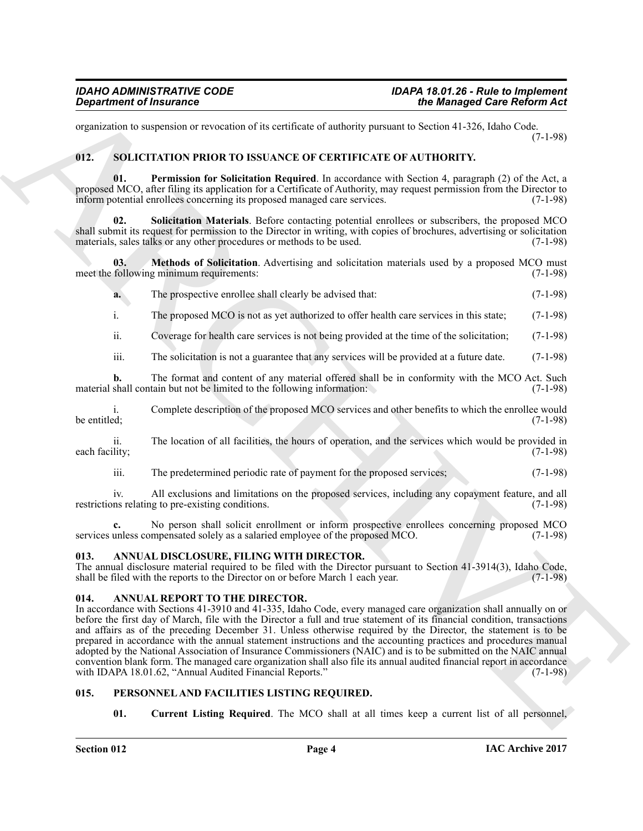organization to suspension or revocation of its certificate of authority pursuant to Section 41-326, Idaho Code. (7-1-98)

#### <span id="page-3-8"></span><span id="page-3-0"></span>**012. SOLICITATION PRIOR TO ISSUANCE OF CERTIFICATE OF AUTHORITY.**

<span id="page-3-10"></span>**01. Permission for Solicitation Required**. In accordance with Section 4, paragraph (2) of the Act, a proposed MCO, after filing its application for a Certificate of Authority, may request permission from the Director to inform potential enrollees concerning its proposed managed care services. (7-1-98)

<span id="page-3-11"></span>**02. Solicitation Materials**. Before contacting potential enrollees or subscribers, the proposed MCO shall submit its request for permission to the Director in writing, with copies of brochures, advertising or solicitation materials, sales talks or any other procedures or methods to be used. (7-1-98) materials, sales talks or any other procedures or methods to be used.

**03. Methods of Solicitation**. Advertising and solicitation materials used by a proposed MCO must meet the following minimum requirements: (7-1-98)

<span id="page-3-9"></span>**a.** The prospective enrollee shall clearly be advised that: (7-1-98)

i. The proposed MCO is not as yet authorized to offer health care services in this state; (7-1-98)

ii. Coverage for health care services is not being provided at the time of the solicitation; (7-1-98)

iii. The solicitation is not a guarantee that any services will be provided at a future date. (7-1-98)

**b.** The format and content of any material offered shall be in conformity with the MCO Act. Such shall contain but not be limited to the following information: (7-1-98) material shall contain but not be limited to the following information:

i. Complete description of the proposed MCO services and other benefits to which the enrollee would be entitled;  $(7-1-98)$ 

ii. The location of all facilities, the hours of operation, and the services which would be provided in each facility; (7-1-98)

iii. The predetermined periodic rate of payment for the proposed services; (7-1-98)

iv. All exclusions and limitations on the proposed services, including any copayment feature, and all restrictions relating to pre-existing conditions. (7-1-98)

**c.** No person shall solicit enrollment or inform prospective enrollees concerning proposed MCO services unless compensated solely as a salaried employee of the proposed MCO.  $(7-1-98)$ 

#### <span id="page-3-4"></span><span id="page-3-1"></span>**013. ANNUAL DISCLOSURE, FILING WITH DIRECTOR.**

The annual disclosure material required to be filed with the Director pursuant to Section 41-3914(3), Idaho Code, shall be filed with the reports to the Director on or before March 1 each year. (7-1-98) shall be filed with the reports to the Director on or before March 1 each year.

#### <span id="page-3-5"></span><span id="page-3-2"></span>**014. ANNUAL REPORT TO THE DIRECTOR.**

*Given the Character* Constant Constant Constant Constant Constant Constant Constant Constant Constant Constant Constant Constant Constant Constant Constant Constant Constant Constant Constant Constant Constant Constant In accordance with Sections 41-3910 and 41-335, Idaho Code, every managed care organization shall annually on or before the first day of March, file with the Director a full and true statement of its financial condition, transactions and affairs as of the preceding December 31. Unless otherwise required by the Director, the statement is to be prepared in accordance with the annual statement instructions and the accounting practices and procedures manual adopted by the National Association of Insurance Commissioners (NAIC) and is to be submitted on the NAIC annual convention blank form. The managed care organization shall also file its annual audited financial report in accordance with IDAPA 18.01.62, "Annual Audited Financial Reports."

#### <span id="page-3-3"></span>**015. PERSONNEL AND FACILITIES LISTING REQUIRED.**

<span id="page-3-7"></span><span id="page-3-6"></span>**01.** Current Listing Required. The MCO shall at all times keep a current list of all personnel,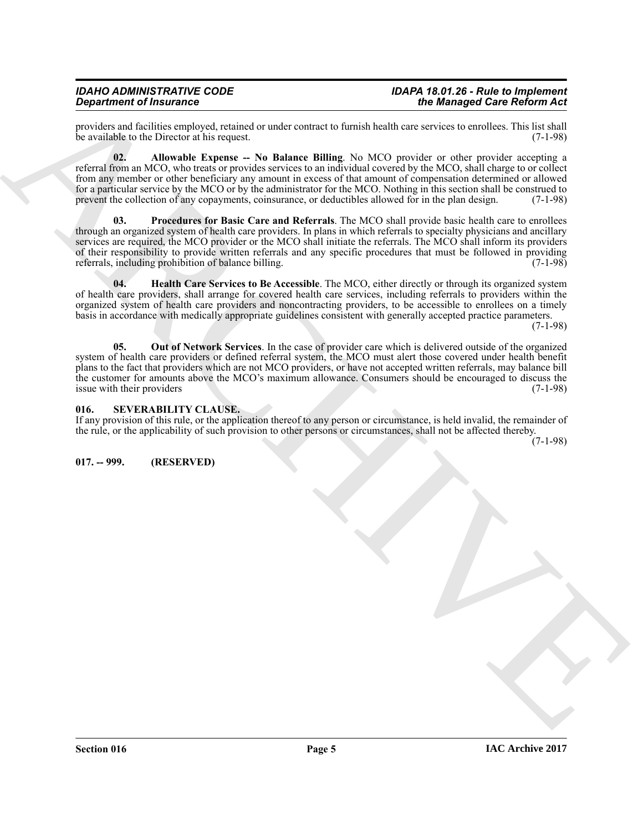providers and facilities employed, retained or under contract to furnish health care services to enrollees. This list shall be available to the Director at his request. (7-1-98)

<span id="page-4-5"></span><span id="page-4-2"></span>**02. Allowable Expense -- No Balance Billing**. No MCO provider or other provider accepting a referral from an MCO, who treats or provides services to an individual covered by the MCO, shall charge to or collect from any member or other beneficiary any amount in excess of that amount of compensation determined or allowed for a particular service by the MCO or by the administrator for the MCO. Nothing in this section shall be construed to prevent the collection of any copayments, coinsurance, or deductibles allowed for in the plan design. (7-1-98)

**Considered Francesco C** and the counter of the same bound in the same bound of the same of the same of the same of the same of the same of the same of the same of the same of the same of the same of the same of the same **03. Procedures for Basic Care and Referrals**. The MCO shall provide basic health care to enrollees through an organized system of health care providers. In plans in which referrals to specialty physicians and ancillary services are required, the MCO provider or the MCO shall initiate the referrals. The MCO shall inform its providers of their responsibility to provide written referrals and any specific procedures that must be followed in providing referrals, including probibition of balance billing. referrals, including prohibition of balance billing.

<span id="page-4-3"></span>**04. Health Care Services to Be Accessible**. The MCO, either directly or through its organized system of health care providers, shall arrange for covered health care services, including referrals to providers within the organized system of health care providers and noncontracting providers, to be accessible to enrollees on a timely basis in accordance with medically appropriate guidelines consistent with generally accepted practice parameters.

(7-1-98)

<span id="page-4-4"></span>**05. Out of Network Services**. In the case of provider care which is delivered outside of the organized system of health care providers or defined referral system, the MCO must alert those covered under health benefit plans to the fact that providers which are not MCO providers, or have not accepted written referrals, may balance bill the customer for amounts above the MCO's maximum allowance. Consumers should be encouraged to discuss the issue with their providers (7-1-98) issue with their providers

#### <span id="page-4-0"></span>**016. SEVERABILITY CLAUSE.**

If any provision of this rule, or the application thereof to any person or circumstance, is held invalid, the remainder of the rule, or the applicability of such provision to other persons or circumstances, shall not be affected thereby.

(7-1-98)

<span id="page-4-1"></span>**017. -- 999. (RESERVED)**